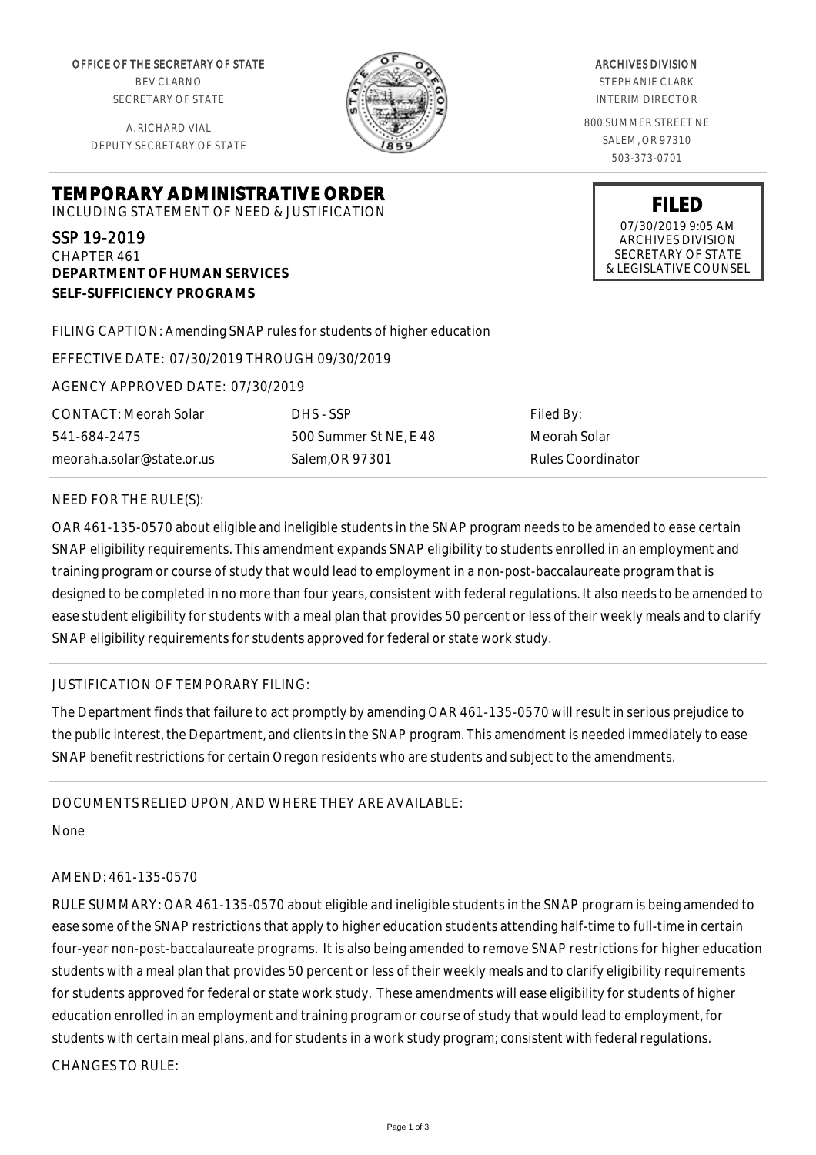OFFICE OF THE SECRETARY OF STATE BEV CLARNO SECRETARY OF STATE

A. RICHARD VIAL DEPUTY SECRETARY OF STATE

**DEPARTMENT OF HUMAN SERVICES**

**SELF-SUFFICIENCY PROGRAMS**



ARCHIVES DIVISION

STEPHANIE CLARK INTERIM DIRECTOR

800 SUMMER STREET NE SALEM, OR 97310 503-373-0701

> **FILED** 07/30/2019 9:05 AM ARCHIVES DIVISION SECRETARY OF STATE & LEGISLATIVE COUNSEL

FILING CAPTION: Amending SNAP rules for students of higher education

EFFECTIVE DATE: 07/30/2019 THROUGH 09/30/2019

**TEMPORARY ADMINISTRATIVE ORDER** INCLUDING STATEMENT OF NEED & JUSTIFICATION

AGENCY APPROVED DATE: 07/30/2019

CONTACT: Meorah Solar 541-684-2475 meorah.a.solar@state.or.us

SSP 19-2019 CHAPTER 461

> DHS - SSP 500 Summer St NE, E 48 Salem,OR 97301

Filed By: Meorah Solar Rules Coordinator

## NEED FOR THE RULE(S):

OAR 461-135-0570 about eligible and ineligible students in the SNAP program needs to be amended to ease certain SNAP eligibility requirements. This amendment expands SNAP eligibility to students enrolled in an employment and training program or course of study that would lead to employment in a non-post-baccalaureate program that is designed to be completed in no more than four years, consistent with federal regulations. It also needs to be amended to ease student eligibility for students with a meal plan that provides 50 percent or less of their weekly meals and to clarify SNAP eligibility requirements for students approved for federal or state work study.

## JUSTIFICATION OF TEMPORARY FILING:

The Department finds that failure to act promptly by amending OAR 461-135-0570 will result in serious prejudice to the public interest, the Department, and clients in the SNAP program. This amendment is needed immediately to ease SNAP benefit restrictions for certain Oregon residents who are students and subject to the amendments.

## DOCUMENTS RELIED UPON, AND WHERE THEY ARE AVAILABLE:

None

## AMEND: 461-135-0570

RULE SUMMARY: OAR 461-135-0570 about eligible and ineligible students in the SNAP program is being amended to ease some of the SNAP restrictions that apply to higher education students attending half-time to full-time in certain four-year non-post-baccalaureate programs. It is also being amended to remove SNAP restrictions for higher education students with a meal plan that provides 50 percent or less of their weekly meals and to clarify eligibility requirements for students approved for federal or state work study. These amendments will ease eligibility for students of higher education enrolled in an employment and training program or course of study that would lead to employment, for students with certain meal plans, and for students in a work study program; consistent with federal regulations. CHANGES TO RULE: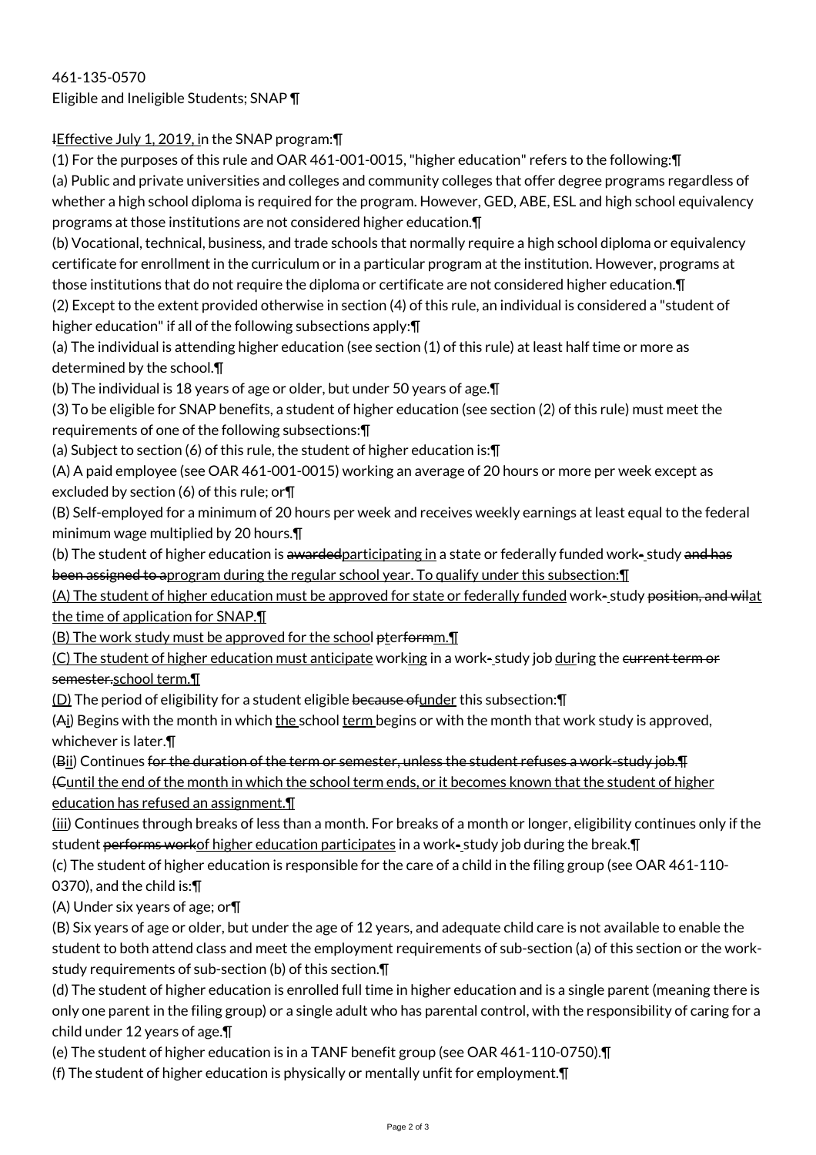461-135-0570 Eligible and Ineligible Students; SNAP ¶

IEffective July 1, 2019, in the SNAP program: \[

(1) For the purposes of this rule and OAR 461-001-0015, "higher education" refers to the following:¶ (a) Public and private universities and colleges and community colleges that offer degree programs regardless of whether a high school diploma is required for the program. However, GED, ABE, ESL and high school equivalency programs at those institutions are not considered higher education.¶

(b) Vocational, technical, business, and trade schools that normally require a high school diploma or equivalency certificate for enrollment in the curriculum or in a particular program at the institution. However, programs at those institutions that do not require the diploma or certificate are not considered higher education.¶

(2) Except to the extent provided otherwise in section (4) of this rule, an individual is considered a "student of higher education" if all of the following subsections apply:¶

(a) The individual is attending higher education (see section (1) of this rule) at least half time or more as determined by the school.¶

(b) The individual is 18 years of age or older, but under 50 years of age.¶

(3) To be eligible for SNAP benefits, a student of higher education (see section (2) of this rule) must meet the requirements of one of the following subsections:¶

(a) Subject to section (6) of this rule, the student of higher education is:¶

(A) A paid employee (see OAR 461-001-0015) working an average of 20 hours or more per week except as excluded by section (6) of this rule; or¶

(B) Self-employed for a minimum of 20 hours per week and receives weekly earnings at least equal to the federal minimum wage multiplied by 20 hours.¶

(b) The student of higher education is awarded participating in a state or federally funded work-study and has been assigned to aprogram during the regular school year. To qualify under this subsection: I

(A) The student of higher education must be approved for state or federally funded work- study position, and wilat the time of application for SNAP.¶

(B) The work study must be approved for the school pterformm.

(C) The student of higher education must anticipate working in a work-study job during the eurrent term or semester.school term.¶

(D) The period of eligibility for a student eligible because ofunder this subsection:¶

(Ai) Begins with the month in which the school term begins or with the month that work study is approved, whichever is later.¶

(Bii) Continues for the duration of the term or semester, unless the student refuses a work-study job.¶ (Cuntil the end of the month in which the school term ends, or it becomes known that the student of higher education has refused an assignment.¶

(iii) Continues through breaks of less than a month. For breaks of a month or longer, eligibility continues only if the student performs workof higher education participates in a work-study job during the break. T

(c) The student of higher education is responsible for the care of a child in the filing group (see OAR 461-110-

0370), and the child is:¶

(A) Under six years of age; or¶

(B) Six years of age or older, but under the age of 12 years, and adequate child care is not available to enable the student to both attend class and meet the employment requirements of sub-section (a) of this section or the workstudy requirements of sub-section (b) of this section.¶

(d) The student of higher education is enrolled full time in higher education and is a single parent (meaning there is only one parent in the filing group) or a single adult who has parental control, with the responsibility of caring for a child under 12 years of age.¶

(e) The student of higher education is in a TANF benefit group (see OAR 461-110-0750).¶

(f) The student of higher education is physically or mentally unfit for employment.¶